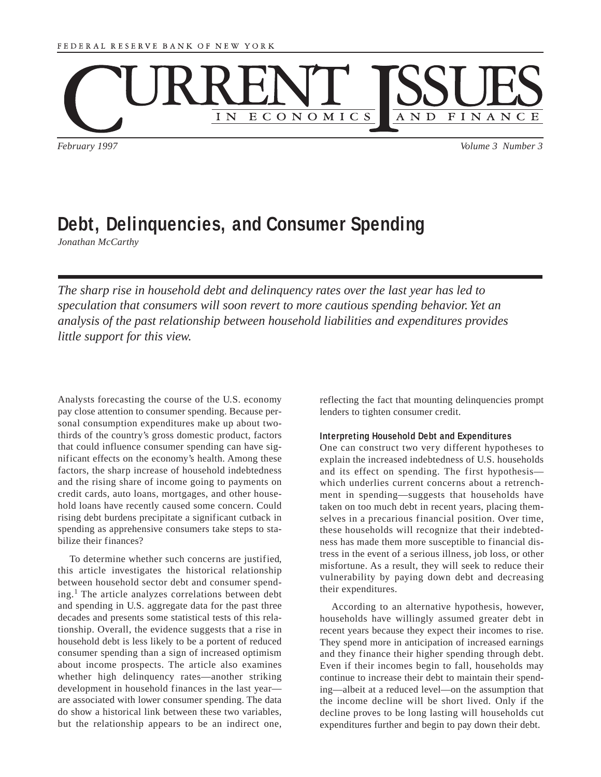

*February 1997 Volume 3 Number 3*

# **Debt, Delinquencies, and Consumer Spending**

*Jonathan McCarthy*

*The sharp rise in household debt and delinquency rates over the last year has led to speculation that consumers will soon revert to more cautious spending behavior. Yet an analysis of the past relationship between household liabilities and expenditures provides little support for this view.*

Analysts forecasting the course of the U.S. economy pay close attention to consumer spending. Because personal consumption expenditures make up about twothirds of the country's gross domestic product, factors that could influence consumer spending can have significant effects on the economy's health. Among these factors, the sharp increase of household indebtedness and the rising share of income going to payments on credit cards, auto loans, mortgages, and other household loans have recently caused some concern. Could rising debt burdens precipitate a significant cutback in spending as apprehensive consumers take steps to stabilize their finances?

To determine whether such concerns are justified, this article investigates the historical relationship between household sector debt and consumer spending.<sup>1</sup> The article analyzes correlations between debt and spending in U.S. aggregate data for the past three decades and presents some statistical tests of this relationship. Overall, the evidence suggests that a rise in household debt is less likely to be a portent of reduced consumer spending than a sign of increased optimism about income prospects. The article also examines whether high delinquency rates—another striking development in household finances in the last year are associated with lower consumer spending. The data do show a historical link between these two variables, but the relationship appears to be an indirect one, reflecting the fact that mounting delinquencies prompt lenders to tighten consumer credit.

#### **Interpreting Household Debt and Expenditures**

One can construct two very different hypotheses to explain the increased indebtedness of U.S. households and its effect on spending. The first hypothesis which underlies current concerns about a retrenchment in spending—suggests that households have taken on too much debt in recent years, placing themselves in a precarious financial position. Over time, these households will recognize that their indebtedness has made them more susceptible to financial distress in the event of a serious illness, job loss, or other misfortune. As a result, they will seek to reduce their vulnerability by paying down debt and decreasing their expenditures.

According to an alternative hypothesis, however, households have willingly assumed greater debt in recent years because they expect their incomes to rise. They spend more in anticipation of increased earnings and they finance their higher spending through debt. Even if their incomes begin to fall, households may continue to increase their debt to maintain their spending—albeit at a reduced level—on the assumption that the income decline will be short lived. Only if the decline proves to be long lasting will households cut expenditures further and begin to pay down their debt.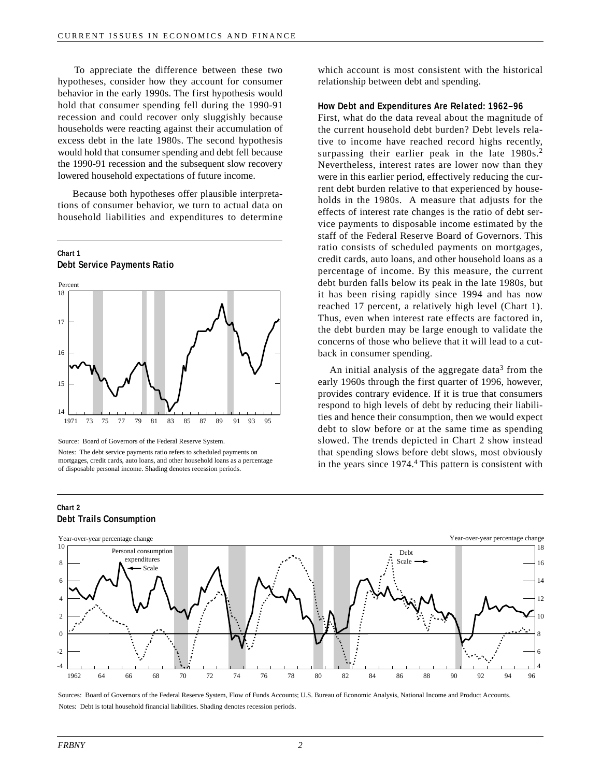To appreciate the difference between these two hypotheses, consider how they account for consumer behavior in the early 1990s. The first hypothesis would hold that consumer spending fell during the 1990-91 recession and could recover only sluggishly because households were reacting against their accumulation of excess debt in the late 1980s. The second hypothesis would hold that consumer spending and debt fell because the 1990-91 recession and the subsequent slow recovery lowered household expectations of future income.

Because both hypotheses offer plausible interpretations of consumer behavior, we turn to actual data on household liabilities and expenditures to determine



Source: Board of Governors of the Federal Reserve System.

which account is most consistent with the historical relationship between debt and spending.

## **How Debt and Expenditures Are Related: 1962–96**

First, what do the data reveal about the magnitude of the current household debt burden? Debt levels relative to income have reached record highs recently, surpassing their earlier peak in the late  $1980s<sup>2</sup>$ . Nevertheless, interest rates are lower now than they were in this earlier period, effectively reducing the current debt burden relative to that experienced by households in the 1980s. A measure that adjusts for the effects of interest rate changes is the ratio of debt service payments to disposable income estimated by the staff of the Federal Reserve Board of Governors. This ratio consists of scheduled payments on mortgages, credit cards, auto loans, and other household loans as a percentage of income. By this measure, the current debt burden falls below its peak in the late 1980s, but it has been rising rapidly since 1994 and has now reached 17 percent, a relatively high level (Chart 1). Thus, even when interest rate effects are factored in, the debt burden may be large enough to validate the concerns of those who believe that it will lead to a cutback in consumer spending.

An initial analysis of the aggregate data<sup>3</sup> from the early 1960s through the first quarter of 1996, however, provides contrary evidence. If it is true that consumers respond to high levels of debt by reducing their liabilities and hence their consumption, then we would expect debt to slow before or at the same time as spending slowed. The trends depicted in Chart 2 show instead that spending slows before debt slows, most obviously in the years since 1974.<sup>4</sup> This pattern is consistent with

#### 1962 64 66 68 70 72 66 68 70 -4 -2 0 2 4 6 8 10 4 6 8 10 12 14 16 18 74 76 78 80 82 84 86 88 90 92 94 96 Scale Debt Scale Year-over-year percentage change Year-over-year percentage change Personal consumption expenditures

# **Chart 2 Debt Trails Consumption**

Sources: Board of Governors of the Federal Reserve System, Flow of Funds Accounts; U.S. Bureau of Economic Analysis, National Income and Product Accounts. Notes: Debt is total household financial liabilities. Shading denotes recession periods.

Notes: The debt service payments ratio refers to scheduled payments on mortgages, credit cards, auto loans, and other household loans as a percentage of disposable personal income. Shading denotes recession periods.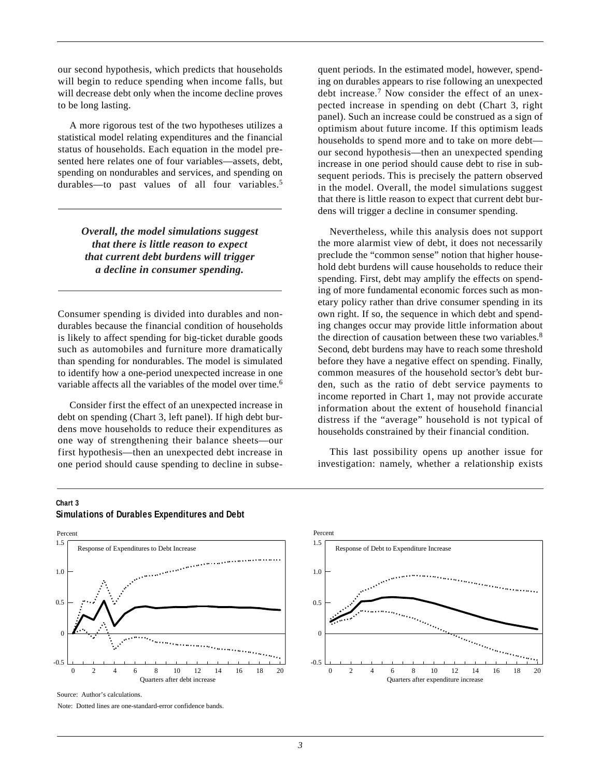our second hypothesis, which predicts that households will begin to reduce spending when income falls, but will decrease debt only when the income decline proves to be long lasting.

A more rigorous test of the two hypotheses utilizes a statistical model relating expenditures and the financial status of households. Each equation in the model presented here relates one of four variables—assets, debt, spending on nondurables and services, and spending on durables—to past values of all four variables.<sup>5</sup>

> *Overall, the model simulations suggest that there is little reason to expect that current debt burdens will trigger a decline in consumer spending.*

Consumer spending is divided into durables and nondurables because the financial condition of households is likely to affect spending for big-ticket durable goods such as automobiles and furniture more dramatically than spending for nondurables. The model is simulated to identify how a one-period unexpected increase in one variable affects all the variables of the model over time.<sup>6</sup>

Consider first the effect of an unexpected increase in debt on spending (Chart 3, left panel). If high debt burdens move households to reduce their expenditures as one way of strengthening their balance sheets—our first hypothesis—then an unexpected debt increase in one period should cause spending to decline in subsequent periods. In the estimated model, however, spending on durables appears to rise following an unexpected debt increase.<sup>7</sup> Now consider the effect of an unexpected increase in spending on debt (Chart 3, right panel). Such an increase could be construed as a sign of optimism about future income. If this optimism leads households to spend more and to take on more debt our second hypothesis—then an unexpected spending increase in one period should cause debt to rise in subsequent periods. This is precisely the pattern observed in the model. Overall, the model simulations suggest that there is little reason to expect that current debt burdens will trigger a decline in consumer spending.

Nevertheless, while this analysis does not support the more alarmist view of debt, it does not necessarily preclude the "common sense" notion that higher household debt burdens will cause households to reduce their spending. First, debt may amplify the effects on spending of more fundamental economic forces such as monetary policy rather than drive consumer spending in its own right. If so, the sequence in which debt and spending changes occur may provide little information about the direction of causation between these two variables. $8$ Second, debt burdens may have to reach some threshold before they have a negative effect on spending. Finally, common measures of the household sector's debt burden, such as the ratio of debt service payments to income reported in Chart 1, may not provide accurate information about the extent of household financial distress if the "average" household is not typical of households constrained by their financial condition.

This last possibility opens up another issue for investigation: namely, whether a relationship exists

# **Chart 3 Simulations of Durables Expenditures and Debt**





Source: Author's calculations.

Note: Dotted lines are one-standard-error confidence bands.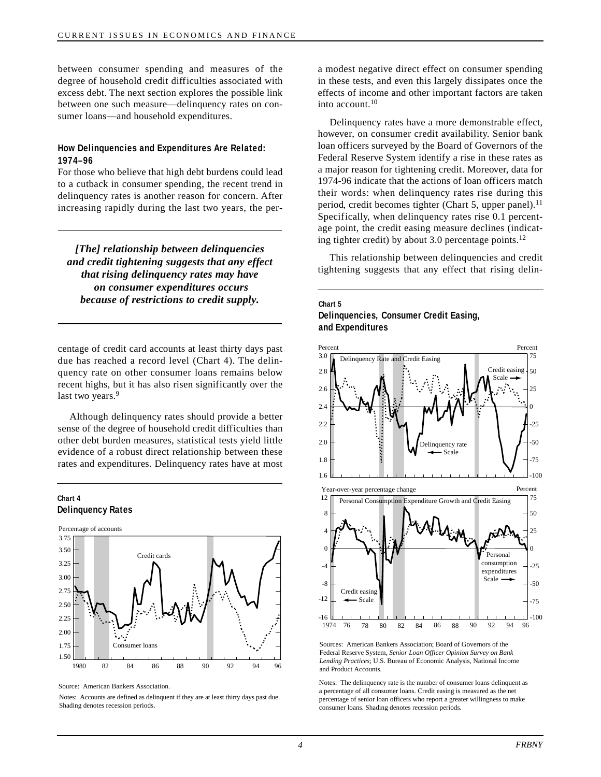between consumer spending and measures of the degree of household credit difficulties associated with excess debt. The next section explores the possible link between one such measure—delinquency rates on consumer loans—and household expenditures.

## **How Delinquencies and Expenditures Are Related: 1974–96**

For those who believe that high debt burdens could lead to a cutback in consumer spending, the recent trend in delinquency rates is another reason for concern. After increasing rapidly during the last two years, the per-

*[The] relationship between delinquencies and credit tightening suggests that any effect that rising delinquency rates may have on consumer expenditures occurs because of restrictions to credit supply.*

centage of credit card accounts at least thirty days past due has reached a record level (Chart 4). The delinquency rate on other consumer loans remains below recent highs, but it has also risen significantly over the last two years.<sup>9</sup>

Although delinquency rates should provide a better sense of the degree of household credit difficulties than other debt burden measures, statistical tests yield little evidence of a robust direct relationship between these rates and expenditures. Delinquency rates have at most





Source: American Bankers Association.

Notes: Accounts are defined as delinquent if they are at least thirty days past due. Shading denotes recession periods.

a modest negative direct effect on consumer spending in these tests, and even this largely dissipates once the effects of income and other important factors are taken into account. $10$ 

Delinquency rates have a more demonstrable effect, however, on consumer credit availability. Senior bank loan officers surveyed by the Board of Governors of the Federal Reserve System identify a rise in these rates as a major reason for tightening credit. Moreover, data for 1974-96 indicate that the actions of loan officers match their words: when delinquency rates rise during this period, credit becomes tighter (Chart 5, upper panel).<sup>11</sup> Specifically, when delinquency rates rise 0.1 percentage point, the credit easing measure declines (indicating tighter credit) by about 3.0 percentage points. $^{12}$ 

This relationship between delinquencies and credit tightening suggests that any effect that rising delin-

## **Chart 5 Delinquencies, Consumer Credit Easing, and Expenditures**



Sources: American Bankers Association; Board of Governors of the Federal Reserve System, *Senior Loan Officer Opinion Survey on Bank Lending Practices*; U.S. Bureau of Economic Analysis, National Income and Product Accounts.

Notes: The delinquency rate is the number of consumer loans delinquent as a percentage of all consumer loans. Credit easing is measured as the net percentage of senior loan officers who report a greater willingness to make consumer loans. Shading denotes recession periods.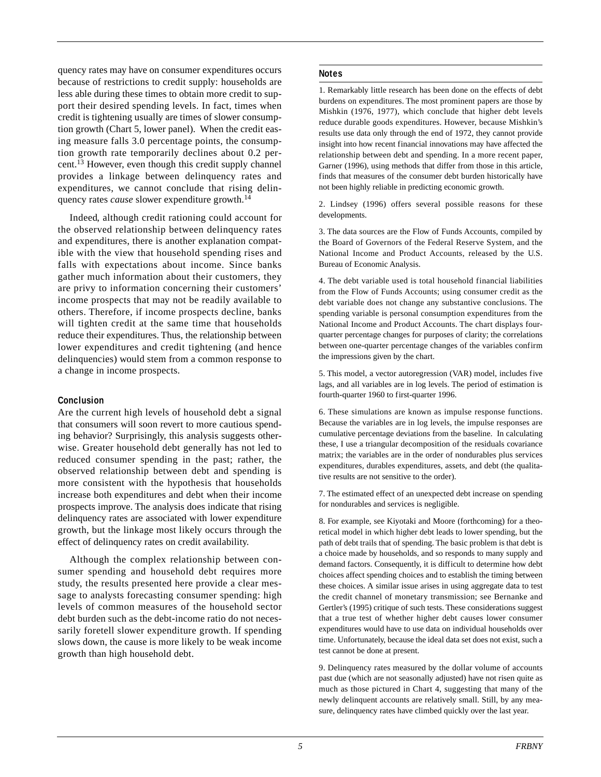quency rates may have on consumer expenditures occurs because of restrictions to credit supply: households are less able during these times to obtain more credit to support their desired spending levels. In fact, times when credit is tightening usually are times of slower consumption growth (Chart 5, lower panel). When the credit easing measure falls 3.0 percentage points, the consumption growth rate temporarily declines about 0.2 percent.<sup>13</sup> However, even though this credit supply channel provides a linkage between delinquency rates and expenditures, we cannot conclude that rising delinquency rates *cause* slower expenditure growth.<sup>14</sup>

Indeed, although credit rationing could account for the observed relationship between delinquency rates and expenditures, there is another explanation compatible with the view that household spending rises and falls with expectations about income. Since banks gather much information about their customers, they are privy to information concerning their customers' income prospects that may not be readily available to others. Therefore, if income prospects decline, banks will tighten credit at the same time that households reduce their expenditures. Thus, the relationship between lower expenditures and credit tightening (and hence delinquencies) would stem from a common response to a change in income prospects.

#### **Conclusion**

Are the current high levels of household debt a signal that consumers will soon revert to more cautious spending behavior? Surprisingly, this analysis suggests otherwise. Greater household debt generally has not led to reduced consumer spending in the past; rather, the observed relationship between debt and spending is more consistent with the hypothesis that households increase both expenditures and debt when their income prospects improve. The analysis does indicate that rising delinquency rates are associated with lower expenditure growth, but the linkage most likely occurs through the effect of delinquency rates on credit availability.

Although the complex relationship between consumer spending and household debt requires more study, the results presented here provide a clear message to analysts forecasting consumer spending: high levels of common measures of the household sector debt burden such as the debt-income ratio do not necessarily foretell slower expenditure growth. If spending slows down, the cause is more likely to be weak income growth than high household debt.

# **Notes**

1. Remarkably little research has been done on the effects of debt burdens on expenditures. The most prominent papers are those by Mishkin (1976, 1977), which conclude that higher debt levels reduce durable goods expenditures. However, because Mishkin's results use data only through the end of 1972, they cannot provide insight into how recent financial innovations may have affected the relationship between debt and spending. In a more recent paper, Garner (1996), using methods that differ from those in this article, finds that measures of the consumer debt burden historically have not been highly reliable in predicting economic growth.

2. Lindsey (1996) offers several possible reasons for these developments.

3. The data sources are the Flow of Funds Accounts, compiled by the Board of Governors of the Federal Reserve System, and the National Income and Product Accounts, released by the U.S. Bureau of Economic Analysis.

4. The debt variable used is total household financial liabilities from the Flow of Funds Accounts; using consumer credit as the debt variable does not change any substantive conclusions. The spending variable is personal consumption expenditures from the National Income and Product Accounts. The chart displays fourquarter percentage changes for purposes of clarity; the correlations between one-quarter percentage changes of the variables confirm the impressions given by the chart.

5. This model, a vector autoregression (VAR) model, includes five lags, and all variables are in log levels. The period of estimation is fourth-quarter 1960 to first-quarter 1996.

6. These simulations are known as impulse response functions. Because the variables are in log levels, the impulse responses are cumulative percentage deviations from the baseline. In calculating these, I use a triangular decomposition of the residuals covariance matrix; the variables are in the order of nondurables plus services expenditures, durables expenditures, assets, and debt (the qualitative results are not sensitive to the order).

7. The estimated effect of an unexpected debt increase on spending for nondurables and services is negligible.

8. For example, see Kiyotaki and Moore (forthcoming) for a theoretical model in which higher debt leads to lower spending, but the path of debt trails that of spending. The basic problem is that debt is a choice made by households, and so responds to many supply and demand factors. Consequently, it is difficult to determine how debt choices affect spending choices and to establish the timing between these choices. A similar issue arises in using aggregate data to test the credit channel of monetary transmission; see Bernanke and Gertler's (1995) critique of such tests. These considerations suggest that a true test of whether higher debt causes lower consumer expenditures would have to use data on individual households over time. Unfortunately, because the ideal data set does not exist, such a test cannot be done at present.

9. Delinquency rates measured by the dollar volume of accounts past due (which are not seasonally adjusted) have not risen quite as much as those pictured in Chart 4, suggesting that many of the newly delinquent accounts are relatively small. Still, by any measure, delinquency rates have climbed quickly over the last year.